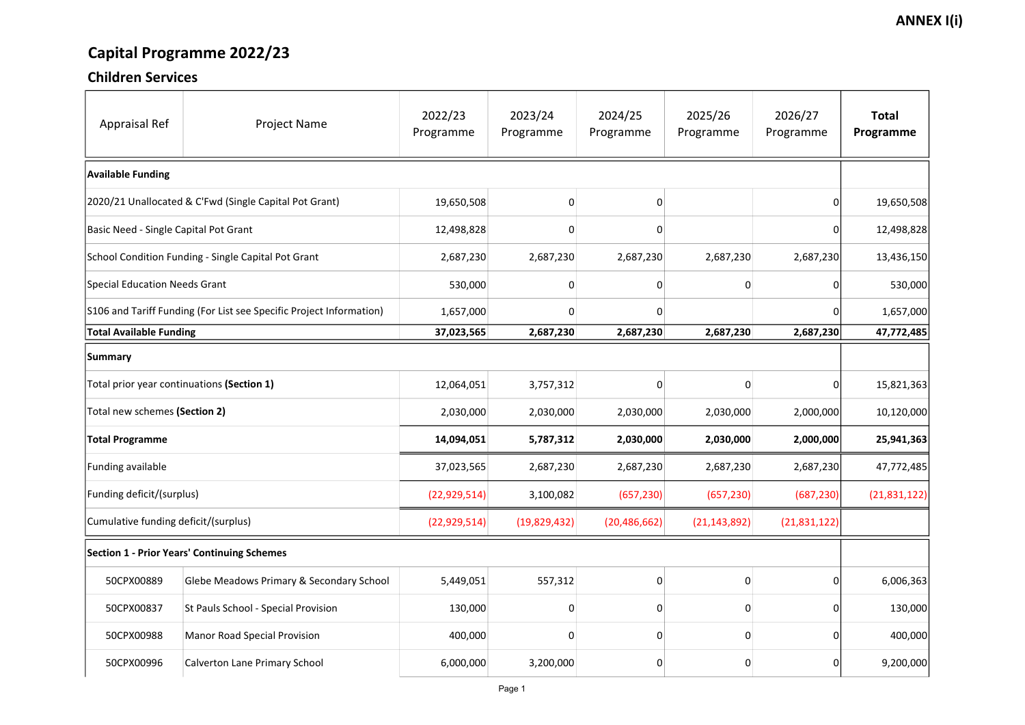# Capital Programme 2022/23

### Children Services

| <b>Appraisal Ref</b>                                                | <b>Project Name</b>                      | 2022/23<br>Programme | 2023/24<br>Programme | 2024/25<br>Programme | 2025/26<br>Programme | 2026/27<br>Programme | <b>Total</b><br>Programme |  |
|---------------------------------------------------------------------|------------------------------------------|----------------------|----------------------|----------------------|----------------------|----------------------|---------------------------|--|
| <b>Available Funding</b>                                            |                                          |                      |                      |                      |                      |                      |                           |  |
| 2020/21 Unallocated & C'Fwd (Single Capital Pot Grant)              |                                          | 19,650,508           | 0                    |                      |                      | 0                    | 19,650,508                |  |
| Basic Need - Single Capital Pot Grant                               |                                          | 12,498,828           | 0                    | O                    |                      | 0                    | 12,498,828                |  |
| School Condition Funding - Single Capital Pot Grant                 |                                          | 2,687,230            | 2,687,230            | 2,687,230            | 2,687,230            | 2,687,230            | 13,436,150                |  |
| Special Education Needs Grant                                       |                                          | 530,000              | 0                    |                      | 0                    | 0                    | 530,000                   |  |
| S106 and Tariff Funding (For List see Specific Project Information) |                                          | 1,657,000            | 0                    | n                    |                      | 0                    | 1,657,000                 |  |
| <b>Total Available Funding</b>                                      |                                          | 37,023,565           | 2,687,230            | 2,687,230            | 2,687,230            | 2,687,230            | 47,772,485                |  |
| <b>Summary</b>                                                      |                                          |                      |                      |                      |                      |                      |                           |  |
| Total prior year continuations (Section 1)                          |                                          | 12,064,051           | 3,757,312            |                      | 0                    | 0                    | 15,821,363                |  |
| Total new schemes (Section 2)                                       |                                          | 2,030,000            | 2,030,000            | 2,030,000            | 2,030,000            | 2,000,000            | 10,120,000                |  |
| <b>Total Programme</b>                                              |                                          | 14,094,051           | 5,787,312            | 2,030,000            | 2,030,000            | 2,000,000            | 25,941,363                |  |
| <b>Funding available</b>                                            |                                          | 37,023,565           | 2,687,230            | 2,687,230            | 2,687,230            | 2,687,230            | 47,772,485                |  |
| Funding deficit/(surplus)                                           |                                          | (22, 929, 514)       | 3,100,082            | (657, 230)           | (657, 230)           | (687, 230)           | (21,831,122)              |  |
| Cumulative funding deficit/(surplus)                                |                                          | (22, 929, 514)       | (19,829,432)         | (20, 486, 662)       | (21, 143, 892)       | (21,831,122)         |                           |  |
| <b>Section 1 - Prior Years' Continuing Schemes</b>                  |                                          |                      |                      |                      |                      |                      |                           |  |
| 50CPX00889                                                          | Glebe Meadows Primary & Secondary School | 5,449,051            | 557,312              | 0                    | $\mathbf 0$          | 0                    | 6,006,363                 |  |
| 50CPX00837                                                          | St Pauls School - Special Provision      | 130,000              | 0                    |                      | $\overline{0}$       | 0                    | 130,000                   |  |
| 50CPX00988                                                          | <b>Manor Road Special Provision</b>      | 400,000              | 0                    |                      | 0                    | 0                    | 400,000                   |  |
| 50CPX00996                                                          | <b>Calverton Lane Primary School</b>     | 6,000,000            | 3,200,000            |                      | 0                    | 0                    | 9,200,000                 |  |

### **ANNEX I(i)**